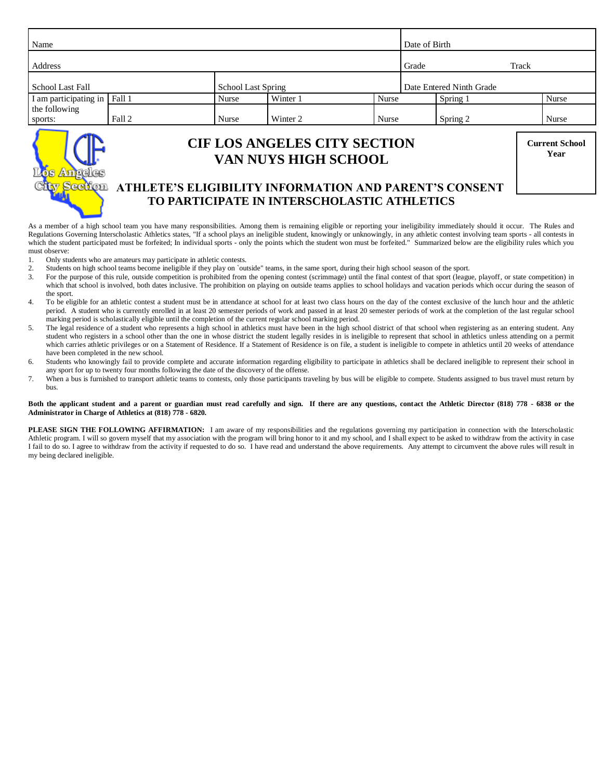| Name                     |        |  |                           |                                                                    |              | Date of Birth |                          |       |                               |
|--------------------------|--------|--|---------------------------|--------------------------------------------------------------------|--------------|---------------|--------------------------|-------|-------------------------------|
| Address                  |        |  |                           |                                                                    |              | Grade         |                          | Track |                               |
| School Last Fall         |        |  | <b>School Last Spring</b> |                                                                    |              |               | Date Entered Ninth Grade |       |                               |
| I am participating in    | Fall 1 |  | Nurse                     | Winter 1                                                           | Nurse        |               | Spring 1                 |       | <b>Nurse</b>                  |
| the following<br>sports: | Fall 2 |  | Nurse                     | Winter 2                                                           | <b>Nurse</b> |               | Spring 2                 |       | <b>Nurse</b>                  |
|                          |        |  |                           | <b>CIF LOS ANGELES CITY SECTION</b><br><b>VAN NUYS HIGH SCHOOL</b> |              |               |                          |       | <b>Current School</b><br>Year |

# **<b> GCLION ATHLETE'S ELIGIBILITY INFORMATION AND PARENT'S CONSENT TO PARTICIPATE IN INTERSCHOLASTIC ATHLETICS**

As a member of a high school team you have many responsibilities. Among them is remaining eligible or reporting your ineligibility immediately should it occur. The Rules and Regulations Governing Interscholastic Athletics states, "If a school plays an ineligible student, knowingly or unknowingly, in any athletic contest involving team sports - all contests in which the student participated must be forfeited; In individual sports - only the points which the student won must be forfeited." Summarized below are the eligibility rules which you must observe:

1. Only students who are amateurs may participate in athletic contests.<br>2. Students on high school teams become ineligible if they play on `our

2. Students on high school teams become ineligible if they play on `outside" teams, in the same sport, during their high school season of the sport.<br>3. For the purpose of this rule, outside competition is prohibited from t

- For the purpose of this rule, outside competition is prohibited from the opening contest (scrimmage) until the final contest of that sport (league, playoff, or state competition) in which that school is involved, both dates inclusive. The prohibition on playing on outside teams applies to school holidays and vacation periods which occur during the season of the sport.
- 4. To be eligible for an athletic contest a student must be in attendance at school for at least two class hours on the day of the contest exclusive of the lunch hour and the athletic period. A student who is currently enrolled in at least 20 semester periods of work and passed in at least 20 semester periods of work at the completion of the last regular school marking period is scholastically eligible until the completion of the current regular school marking period.
- 5. The legal residence of a student who represents a high school in athletics must have been in the high school district of that school when registering as an entering student. Any student who registers in a school other than the one in whose district the student legally resides in is ineligible to represent that school in athletics unless attending on a permit which carries athletic privileges or on a Statement of Residence. If a Statement of Residence is on file, a student is ineligible to compete in athletics until 20 weeks of attendance have been completed in the new school.
- 6. Students who knowingly fail to provide complete and accurate information regarding eligibility to participate in athletics shall be declared ineligible to represent their school in any sport for up to twenty four months following the date of the discovery of the offense.
- 7. When a bus is furnished to transport athletic teams to contests, only those participants traveling by bus will be eligible to compete. Students assigned to bus travel must return by bus.

#### **Both the applicant student and a parent or guardian must read carefully and sign. If there are any questions, contact the Athletic Director (818) 778 - 6838 or the Administrator in Charge of Athletics at (818) 778 - 6820.**

**PLEASE SIGN THE FOLLOWING AFFIRMATION:** I am aware of my responsibilities and the regulations governing my participation in connection with the Interscholastic Athletic program. I will so govern myself that my association with the program will bring honor to it and my school, and I shall expect to be asked to withdraw from the activity in case I fail to do so. I agree to withdraw from the activity if requested to do so. I have read and understand the above requirements. Any attempt to circumvent the above rules will result in my being declared ineligible.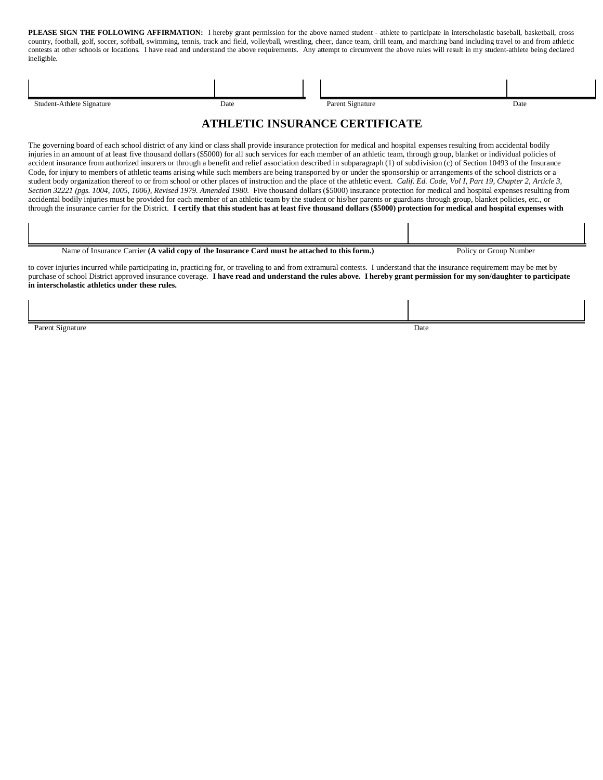**PLEASE SIGN THE FOLLOWING AFFIRMATION:** I hereby grant permission for the above named student - athlete to participate in interscholastic baseball, basketball, cross country, football, golf, soccer, softball, swimming, tennis, track and field, volleyball, wrestling, cheer, dance team, drill team, and marching band including travel to and from athletic contests at other schools or locations. I have read and understand the above requirements. Any attempt to circumvent the above rules will result in my student-athlete being declared ineligible.

| Student-Athlete Signature<br>Date                                                                                                                                                                                                                                                                                                                                                                                                                                                                                                                                                                                                                                                                                                                                                                                                                                                                                                                                                                                                                                                                                                                                                                                                                                                                                                                                                                                                     |  | Parent Signature |                        | Date |  |  |  |  |  |
|---------------------------------------------------------------------------------------------------------------------------------------------------------------------------------------------------------------------------------------------------------------------------------------------------------------------------------------------------------------------------------------------------------------------------------------------------------------------------------------------------------------------------------------------------------------------------------------------------------------------------------------------------------------------------------------------------------------------------------------------------------------------------------------------------------------------------------------------------------------------------------------------------------------------------------------------------------------------------------------------------------------------------------------------------------------------------------------------------------------------------------------------------------------------------------------------------------------------------------------------------------------------------------------------------------------------------------------------------------------------------------------------------------------------------------------|--|------------------|------------------------|------|--|--|--|--|--|
| <b>ATHLETIC INSURANCE CERTIFICATE</b>                                                                                                                                                                                                                                                                                                                                                                                                                                                                                                                                                                                                                                                                                                                                                                                                                                                                                                                                                                                                                                                                                                                                                                                                                                                                                                                                                                                                 |  |                  |                        |      |  |  |  |  |  |
| The governing board of each school district of any kind or class shall provide insurance protection for medical and hospital expenses resulting from accidental bodily<br>injuries in an amount of at least five thousand dollars (\$5000) for all such services for each member of an athletic team, through group, blanket or individual policies of<br>accident insurance from authorized insurers or through a benefit and relief association described in subparagraph (1) of subdivision (c) of Section 10493 of the Insurance<br>Code, for injury to members of athletic teams arising while such members are being transported by or under the sponsorship or arrangements of the school districts or a<br>student body organization thereof to or from school or other places of instruction and the place of the athletic event. Calif. Ed. Code, Vol I, Part 19, Chapter 2, Article 3,<br>Section 32221 (pgs. 1004, 1005, 1006), Revised 1979. Amended 1980. Five thousand dollars (\$5000) insurance protection for medical and hospital expenses resulting from<br>accidental bodily injuries must be provided for each member of an athletic team by the student or his/her parents or guardians through group, blanket policies, etc., or<br>through the insurance carrier for the District. I certify that this student has at least five thousand dollars (\$5000) protection for medical and hospital expenses with |  |                  |                        |      |  |  |  |  |  |
|                                                                                                                                                                                                                                                                                                                                                                                                                                                                                                                                                                                                                                                                                                                                                                                                                                                                                                                                                                                                                                                                                                                                                                                                                                                                                                                                                                                                                                       |  |                  |                        |      |  |  |  |  |  |
| Name of Insurance Carrier (A valid copy of the Insurance Card must be attached to this form.)                                                                                                                                                                                                                                                                                                                                                                                                                                                                                                                                                                                                                                                                                                                                                                                                                                                                                                                                                                                                                                                                                                                                                                                                                                                                                                                                         |  |                  | Policy or Group Number |      |  |  |  |  |  |

to cover injuries incurred while participating in, practicing for, or traveling to and from extramural contests. I understand that the insurance requirement may be met by purchase of school District approved insurance coverage. **I have read and understand the rules above. I hereby grant permission for my son/daughter to participate in interscholastic athletics under these rules.**

Parent Signature Date by the United States of the United States of the United States of Date Date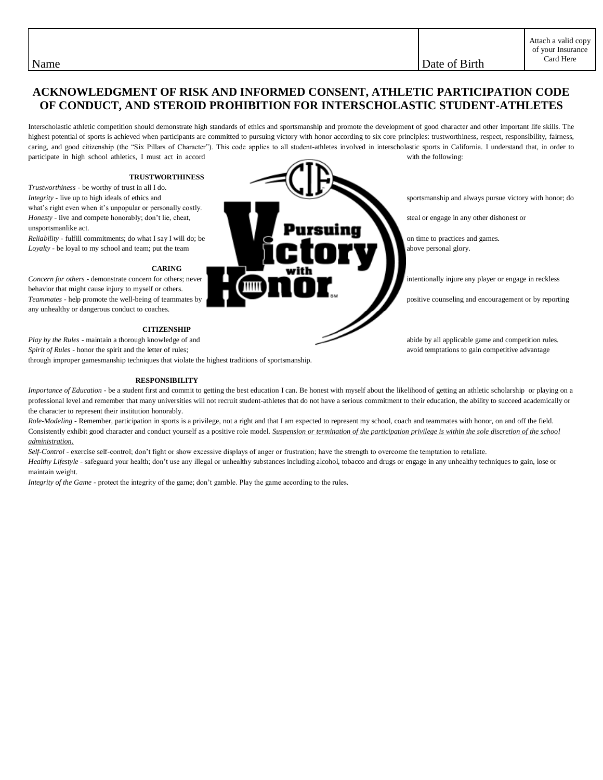Name Date of Birth  $\Box$ 

# **ACKNOWLEDGMENT OF RISK AND INFORMED CONSENT, ATHLETIC PARTICIPATION CODE OF CONDUCT, AND STEROID PROHIBITION FOR INTERSCHOLASTIC STUDENT-ATHLETES**

Interscholastic athletic competition should demonstrate high standards of ethics and sportsmanship and promote the development of good character and other important life skills. The highest potential of sports is achieved when participants are committed to pursuing victory with honor according to six core principles: trustworthiness, respect, responsibility, fairness, caring, and good citizenship (the "Six Pillars of Character"). This code applies to all student-athletes involved in interscholastic sports in California. I understand that, in order to participate in high school athletics, I must act in accord with the following:

### **TRUSTWORTHINESS**

*Trustworthiness -* be worthy of trust in all I do. what's right even when it's unpopular or personally costly. unsportsmanlike act.

#### **CARING**

behavior that might cause injury to myself or others. any unhealthy or dangerous conduct to coaches.

## **CITIZENSHIP**

*Play by the Rules* - maintain a thorough knowledge of and abide by all applicable game and competition rules. *Spirit of Rules* - honor the spirit and the letter of rules; and the spirit and the letter of rules; and the spirit and the letter of rules; and the spirit and the letter of rules; and the spirit and the letter of rules;

through improper gamesmanship techniques that violate the highest traditions of sportsmanship.

### **RESPONSIBILITY**

*Importance of Education* - be a student first and commit to getting the best education I can. Be honest with myself about the likelihood of getting an athletic scholarship or playing on a professional level and remember that many universities will not recruit student-athletes that do not have a serious commitment to their education, the ability to succeed academically or the character to represent their institution honorably.

*Role-Modeling -* Remember, participation in sports is a privilege, not a right and that I am expected to represent my school, coach and teammates with honor, on and off the field. Consistently exhibit good character and conduct yourself as a positive role model. *Suspension or termination of the participation privilege is within the sole discretion of the school administration.*

*Self-Control -* exercise self-control; don't fight or show excessive displays of anger or frustration; have the strength to overcome the temptation to retaliate.

*Healthy Lifestyle -* safeguard your health; don't use any illegal or unhealthy substances including alcohol, tobacco and drugs or engage in any unhealthy techniques to gain, lose or maintain weight.

*Integrity of the Game -* protect the integrity of the game; don't gamble. Play the game according to the rules.